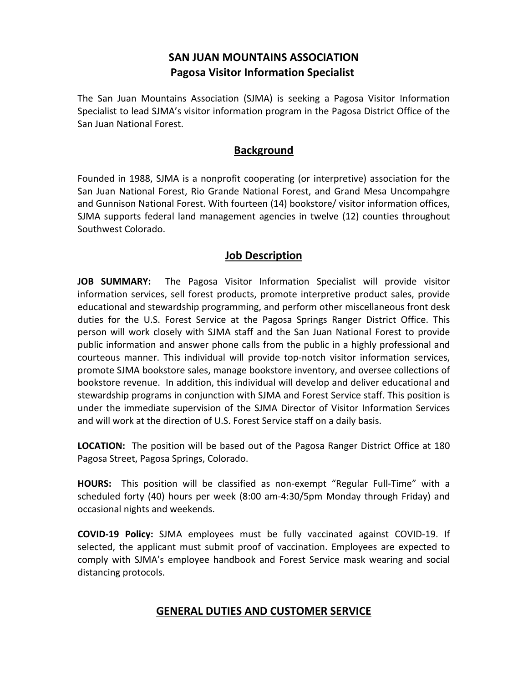## **SAN JUAN MOUNTAINS ASSOCIATION Pagosa Visitor Information Specialist**

The San Juan Mountains Association (SJMA) is seeking a Pagosa Visitor Information Specialist to lead SJMA's visitor information program in the Pagosa District Office of the San Juan National Forest.

#### **Background**

Founded in 1988, SJMA is a nonprofit cooperating (or interpretive) association for the San Juan National Forest, Rio Grande National Forest, and Grand Mesa Uncompahgre and Gunnison National Forest. With fourteen (14) bookstore/ visitor information offices, SJMA supports federal land management agencies in twelve (12) counties throughout Southwest Colorado.

#### **Job Description**

**JOB SUMMARY:** The Pagosa Visitor Information Specialist will provide visitor information services, sell forest products, promote interpretive product sales, provide educational and stewardship programming, and perform other miscellaneous front desk duties for the U.S. Forest Service at the Pagosa Springs Ranger District Office. This person will work closely with SJMA staff and the San Juan National Forest to provide public information and answer phone calls from the public in a highly professional and courteous manner. This individual will provide top-notch visitor information services, promote SJMA bookstore sales, manage bookstore inventory, and oversee collections of bookstore revenue. In addition, this individual will develop and deliver educational and stewardship programs in conjunction with SJMA and Forest Service staff. This position is under the immediate supervision of the SJMA Director of Visitor Information Services and will work at the direction of U.S. Forest Service staff on a daily basis.

**LOCATION:** The position will be based out of the Pagosa Ranger District Office at 180 Pagosa Street, Pagosa Springs, Colorado.

**HOURS:** This position will be classified as non-exempt "Regular Full-Time" with a scheduled forty (40) hours per week (8:00 am-4:30/5pm Monday through Friday) and occasional nights and weekends.

**COVID-19 Policy:** SJMA employees must be fully vaccinated against COVID-19. If selected, the applicant must submit proof of vaccination. Employees are expected to comply with SJMA's employee handbook and Forest Service mask wearing and social distancing protocols.

### **GENERAL DUTIES AND CUSTOMER SERVICE**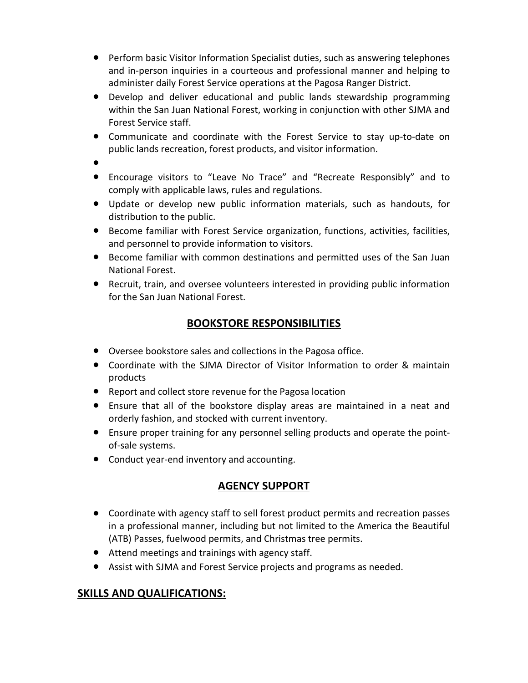- Perform basic Visitor Information Specialist duties, such as answering telephones and in-person inquiries in a courteous and professional manner and helping to administer daily Forest Service operations at the Pagosa Ranger District.
- Develop and deliver educational and public lands stewardship programming within the San Juan National Forest, working in conjunction with other SJMA and Forest Service staff.
- Communicate and coordinate with the Forest Service to stay up-to-date on public lands recreation, forest products, and visitor information.
- ●
- Encourage visitors to "Leave No Trace" and "Recreate Responsibly" and to comply with applicable laws, rules and regulations.
- Update or develop new public information materials, such as handouts, for distribution to the public.
- Become familiar with Forest Service organization, functions, activities, facilities, and personnel to provide information to visitors.
- Become familiar with common destinations and permitted uses of the San Juan National Forest.
- Recruit, train, and oversee volunteers interested in providing public information for the San Juan National Forest.

# **BOOKSTORE RESPONSIBILITIES**

- Oversee bookstore sales and collections in the Pagosa office.
- Coordinate with the SJMA Director of Visitor Information to order & maintain products
- Report and collect store revenue for the Pagosa location
- Ensure that all of the bookstore display areas are maintained in a neat and orderly fashion, and stocked with current inventory.
- Ensure proper training for any personnel selling products and operate the pointof-sale systems.
- Conduct year-end inventory and accounting.

# **AGENCY SUPPORT**

- Coordinate with agency staff to sell forest product permits and recreation passes in a professional manner, including but not limited to the America the Beautiful (ATB) Passes, fuelwood permits, and Christmas tree permits.
- Attend meetings and trainings with agency staff.
- Assist with SJMA and Forest Service projects and programs as needed.

## **SKILLS AND QUALIFICATIONS:**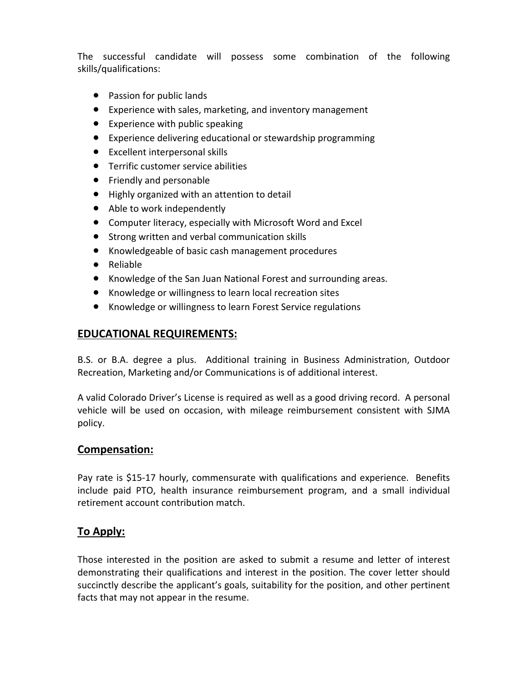The successful candidate will possess some combination of the following skills/qualifications:

- Passion for public lands
- Experience with sales, marketing, and inventory management
- Experience with public speaking
- Experience delivering educational or stewardship programming
- Excellent interpersonal skills
- Terrific customer service abilities
- Friendly and personable
- Highly organized with an attention to detail
- Able to work independently
- Computer literacy, especially with Microsoft Word and Excel
- Strong written and verbal communication skills
- Knowledgeable of basic cash management procedures
- Reliable
- Knowledge of the San Juan National Forest and surrounding areas.
- Knowledge or willingness to learn local recreation sites
- Knowledge or willingness to learn Forest Service regulations

### **EDUCATIONAL REQUIREMENTS:**

B.S. or B.A. degree a plus. Additional training in Business Administration, Outdoor Recreation, Marketing and/or Communications is of additional interest.

A valid Colorado Driver's License is required as well as a good driving record. A personal vehicle will be used on occasion, with mileage reimbursement consistent with SJMA policy.

### **Compensation:**

Pay rate is \$15-17 hourly, commensurate with qualifications and experience. Benefits include paid PTO, health insurance reimbursement program, and a small individual retirement account contribution match.

### **To Apply:**

Those interested in the position are asked to submit a resume and letter of interest demonstrating their qualifications and interest in the position. The cover letter should succinctly describe the applicant's goals, suitability for the position, and other pertinent facts that may not appear in the resume.